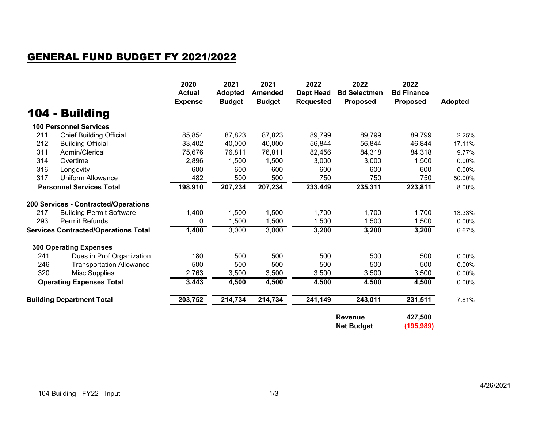## GENERAL FUND BUDGET FY 2021/2022

|                                             |                                      | 2020<br><b>Actual</b><br><b>Expense</b> | 2021<br><b>Adopted</b><br><b>Budget</b> | 2021<br><b>Amended</b><br><b>Budget</b> | 2022<br><b>Dept Head</b><br><b>Requested</b>                 | 2022<br><b>Bd Selectmen</b><br><b>Proposed</b> | 2022<br><b>Bd Finance</b><br><b>Proposed</b> | <b>Adopted</b> |
|---------------------------------------------|--------------------------------------|-----------------------------------------|-----------------------------------------|-----------------------------------------|--------------------------------------------------------------|------------------------------------------------|----------------------------------------------|----------------|
|                                             | 104 - Building                       |                                         |                                         |                                         |                                                              |                                                |                                              |                |
|                                             | <b>100 Personnel Services</b>        |                                         |                                         |                                         |                                                              |                                                |                                              |                |
| 211                                         | <b>Chief Building Official</b>       | 85,854                                  | 87,823                                  | 87,823                                  | 89,799                                                       | 89,799                                         | 89,799                                       | 2.25%          |
| 212                                         | <b>Building Official</b>             | 33,402                                  | 40,000                                  | 40,000                                  | 56,844                                                       | 56,844                                         | 46,844                                       | 17.11%         |
| 311                                         | Admin/Clerical                       | 75,676                                  | 76,811                                  | 76,811                                  | 82,456                                                       | 84,318                                         | 84,318                                       | 9.77%          |
| 314                                         | Overtime                             | 2,896                                   | 1,500                                   | 1,500                                   | 3,000                                                        | 3,000                                          | 1,500                                        | 0.00%          |
| 316                                         | Longevity                            | 600                                     | 600                                     | 600                                     | 600                                                          | 600                                            | 600                                          | 0.00%          |
| 317                                         | <b>Uniform Allowance</b>             | 482                                     | 500                                     | 500                                     | 750                                                          | 750                                            | 750                                          | 50.00%         |
| <b>Personnel Services Total</b>             |                                      | 198,910                                 | 207,234                                 | 207,234                                 | 233,449                                                      | 235,311                                        | 223,811                                      | 8.00%          |
|                                             | 200 Services - Contracted/Operations |                                         |                                         |                                         |                                                              |                                                |                                              |                |
| 217                                         | <b>Building Permit Software</b>      | 1,400                                   | 1,500                                   | 1,500                                   | 1,700                                                        | 1,700                                          | 1,700                                        | 13.33%         |
| 293                                         | <b>Permit Refunds</b>                | 0                                       | 1,500                                   | 1,500                                   | 1,500                                                        | 1,500                                          | 1,500                                        | 0.00%          |
| <b>Services Contracted/Operations Total</b> |                                      | 1,400                                   | 3,000                                   | 3,000                                   | 3,200                                                        | 3,200                                          | 3,200                                        | 6.67%          |
|                                             | <b>300 Operating Expenses</b>        |                                         |                                         |                                         |                                                              |                                                |                                              |                |
| 241                                         | Dues in Prof Organization            | 180                                     | 500                                     | 500                                     | 500                                                          | 500                                            | 500                                          | 0.00%          |
| 246                                         | <b>Transportation Allowance</b>      | 500                                     | 500                                     | 500                                     | 500                                                          | 500                                            | 500                                          | $0.00\%$       |
| 320                                         | <b>Misc Supplies</b>                 | 2,763                                   | 3,500                                   | 3,500                                   | 3,500                                                        | 3,500                                          | 3,500                                        | 0.00%          |
|                                             | <b>Operating Expenses Total</b>      | 3,443                                   | 4,500                                   | 4,500                                   | 4,500                                                        | 4,500                                          | 4,500                                        | 0.00%          |
| <b>Building Department Total</b>            |                                      | 203,752                                 | 214,734                                 | 214,734                                 | 241,149                                                      | 243,011                                        | 231,511                                      | 7.81%          |
|                                             |                                      |                                         |                                         |                                         | 427,500<br><b>Revenue</b><br><b>Net Budget</b><br>(195, 989) |                                                |                                              |                |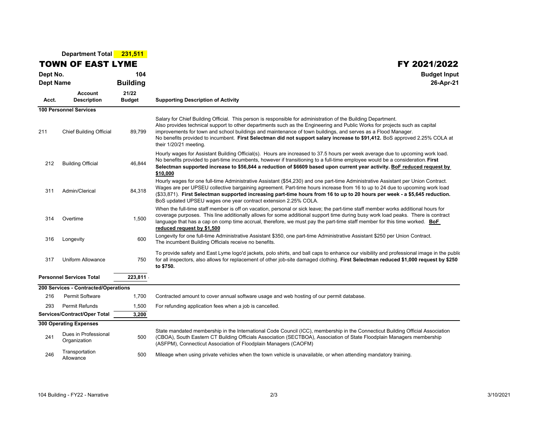**Department Total 231,511**

## TOWN OF EAST LYME

|                              | <b>TOWN OF EAST LYME</b>             |                        | FY 2021/2022                                                                                                                                                                                                                                                                                                                                                                                                                                                                                                        |  |  |  |  |  |
|------------------------------|--------------------------------------|------------------------|---------------------------------------------------------------------------------------------------------------------------------------------------------------------------------------------------------------------------------------------------------------------------------------------------------------------------------------------------------------------------------------------------------------------------------------------------------------------------------------------------------------------|--|--|--|--|--|
| Dept No.<br><b>Dept Name</b> |                                      | 104<br><b>Building</b> | <b>Budget Input</b><br>26-Apr-21                                                                                                                                                                                                                                                                                                                                                                                                                                                                                    |  |  |  |  |  |
| Acct.                        | <b>Account</b><br><b>Description</b> | 21/22<br><b>Budget</b> | <b>Supporting Description of Activity</b>                                                                                                                                                                                                                                                                                                                                                                                                                                                                           |  |  |  |  |  |
|                              | 100 Personnel Services               |                        |                                                                                                                                                                                                                                                                                                                                                                                                                                                                                                                     |  |  |  |  |  |
| 211                          | <b>Chief Building Official</b>       | 89,799                 | Salary for Chief Building Official. This person is responsible for administration of the Building Department.<br>Also provides technical support to other departments such as the Engineering and Public Works for projects such as capital<br>improvements for town and school buildings and maintenance of town buildings, and serves as a Flood Manager.<br>No benefits provided to incumbent. First Selectman did not support salary increase to \$91,412. BoS approved 2.25% COLA at<br>their 1/20/21 meeting. |  |  |  |  |  |
| 212                          | <b>Building Official</b>             | 46,844                 | Hourly wages for Assistant Building Official(s). Hours are increased to 37.5 hours per week average due to upcoming work load.<br>No benefits provided to part-time incumbents, however if transitioning to a full-time employee would be a consideration. First<br>Selectman supported increase to \$56,844 a reduction of \$6609 based upon current year activity. BoF reduced request by<br>\$10,000                                                                                                             |  |  |  |  |  |
| 311                          | Admin/Clerical                       | 84,318                 | Hourly wages for one full-time Administrative Assistant (\$54,230) and one part-time Administrative Assistant per Union Contract.<br>Wages are per UPSEU collective bargaining agreement. Part-time hours increase from 16 to up to 24 due to upcoming work load<br>(\$33,871). First Selectman supported increasing part-time hours from 16 to up to 20 hours per week - a \$5,645 reduction.<br>BoS updated UPSEU wages one year contract extension 2.25% COLA.                                                   |  |  |  |  |  |
| 314                          | Overtime                             | 1,500                  | When the full-time staff member is off on vacation, personal or sick leave; the part-time staff member works additional hours for<br>coverage purposes. This line additionally allows for some additional support time during busy work load peaks. There is contract<br>language that has a cap on comp time accrual, therefore, we must pay the part-time staff member for this time worked. BoF<br>reduced request by \$1,500                                                                                    |  |  |  |  |  |
| 316                          | Longevity                            | 600                    | Longevity for one full-time Administrative Assistant \$350, one part-time Administrative Assistant \$250 per Union Contract.<br>The incumbent Building Officials receive no benefits.                                                                                                                                                                                                                                                                                                                               |  |  |  |  |  |
| 317                          | <b>Uniform Allowance</b>             | 750                    | To provide safety and East Lyme logo'd jackets, polo shirts, and ball caps to enhance our visibility and professional image in the publio<br>for all inspectors, also allows for replacement of other job-site damaged clothing. First Selectman reduced \$1,000 request by \$250<br>to \$750.                                                                                                                                                                                                                      |  |  |  |  |  |
|                              | <b>Personnel Services Total</b>      | 223,811 .              |                                                                                                                                                                                                                                                                                                                                                                                                                                                                                                                     |  |  |  |  |  |
|                              | 200 Services - Contracted/Operations |                        |                                                                                                                                                                                                                                                                                                                                                                                                                                                                                                                     |  |  |  |  |  |
| 216                          | <b>Permit Software</b>               | 1,700                  | Contracted amount to cover annual software usage and web hosting of our permit database.                                                                                                                                                                                                                                                                                                                                                                                                                            |  |  |  |  |  |
| 293                          | Permit Refunds                       | 1,500                  | For refunding application fees when a job is cancelled.                                                                                                                                                                                                                                                                                                                                                                                                                                                             |  |  |  |  |  |
|                              | Services/Contract/Oper Total         | 3,200                  |                                                                                                                                                                                                                                                                                                                                                                                                                                                                                                                     |  |  |  |  |  |
|                              | <b>300 Operating Expenses</b>        |                        |                                                                                                                                                                                                                                                                                                                                                                                                                                                                                                                     |  |  |  |  |  |
| 241                          | Dues in Professional<br>Organization | 500                    | State mandated membership in the International Code Council (ICC), membership in the Connecticut Building Official Association<br>(CBOA), South Eastern CT Building Officials Association (SECTBOA), Association of State Floodplain Managers membership<br>(ASFPM), Connecticut Association of Floodplain Managers (CAOFM)                                                                                                                                                                                         |  |  |  |  |  |
| 246                          | Transportation<br>Allowance          | 500                    | Mileage when using private vehicles when the town vehicle is unavailable, or when attending mandatory training.                                                                                                                                                                                                                                                                                                                                                                                                     |  |  |  |  |  |